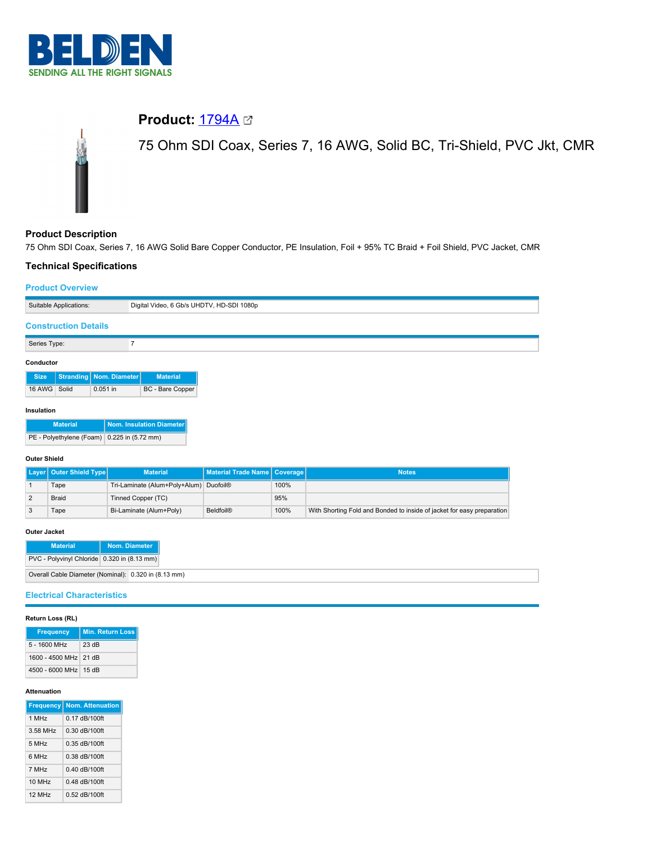

# **Product: [1794A](https://catalog.belden.com/index.cfm?event=pd&p=PF_1794A&tab=downloads)** 2

75 Ohm SDI Coax, Series 7, 16 AWG, Solid BC, Tri-Shield, PVC Jkt, CMR

# **Product Description**

75 Ohm SDI Coax, Series 7, 16 AWG Solid Bare Copper Conductor, PE Insulation, Foil + 95% TC Braid + Foil Shield, PVC Jacket, CMR

### **Technical Specifications**

### **Product Overview**

|                             | Suitable Applications: | Digital Video, 6 Gb/s UHDTV, HD-SDI 1080p |
|-----------------------------|------------------------|-------------------------------------------|
| <b>Construction Details</b> |                        |                                           |
| Series Type:                |                        |                                           |
|                             |                        |                                           |
| Conductor                   |                        |                                           |

| <b>Size</b>  | Stranding   Nom. Diameter | <b>Material</b>  |
|--------------|---------------------------|------------------|
| 16 AWG Solid | $0.051$ in                | BC - Bare Copper |

#### **Insulation**

| <b>Material</b>                             | Nom. Insulation Diameter |  |
|---------------------------------------------|--------------------------|--|
| PE - Polyethylene (Foam) 0.225 in (5.72 mm) |                          |  |

#### **Outer Shield**

| Layer   Outer Shield Type | <b>Material</b>                        | Material Trade Name   Coverage |      | <b>Notes</b>                                                           |
|---------------------------|----------------------------------------|--------------------------------|------|------------------------------------------------------------------------|
| Tape                      | Tri-Laminate (Alum+Poly+Alum) Duofoil® |                                | 100% |                                                                        |
| <b>Braid</b>              | Tinned Copper (TC)                     |                                | 95%  |                                                                        |
| Гаре                      | Bi-Laminate (Alum+Poly)                | <b>Beldfoil®</b>               | 100% | With Shorting Fold and Bonded to inside of jacket for easy preparation |

#### **Outer Jacket**

| <b>Material</b>                                      | Nom. Diameter |  |
|------------------------------------------------------|---------------|--|
| PVC - Polyvinyl Chloride 0.320 in (8.13 mm)          |               |  |
| Overall Cable Diameter (Nominal): 0.320 in (8.13 mm) |               |  |

### **Electrical Characteristics**

| Return Loss (RL) |  |  |
|------------------|--|--|
|------------------|--|--|

| <b>Frequency</b>      | <b>Min. Return Loss</b> |
|-----------------------|-------------------------|
| $5 - 1600$ MHz        | 23 dB                   |
| 1600 - 4500 MHz 21 dB |                         |
| 4500 - 6000 MHz 15 dB |                         |

#### **Attenuation**

| <b>Frequency</b>   | <b>Nom. Attenuation</b> |
|--------------------|-------------------------|
| 1 MH <sub>z</sub>  | $0.17$ dB/100ft         |
| 3.58 MHz           | $0.30$ dB/100ft         |
| 5 MH <sub>7</sub>  | $0.35$ dB/100ft         |
| 6 MHz              | $0.38$ dB/100ft         |
| 7 MHz              | $0.40$ dB/100ft         |
| 10 MH <sub>7</sub> | $0.48$ dB/100ft         |
| 12 MH <sub>z</sub> | 0.52 dB/100ft           |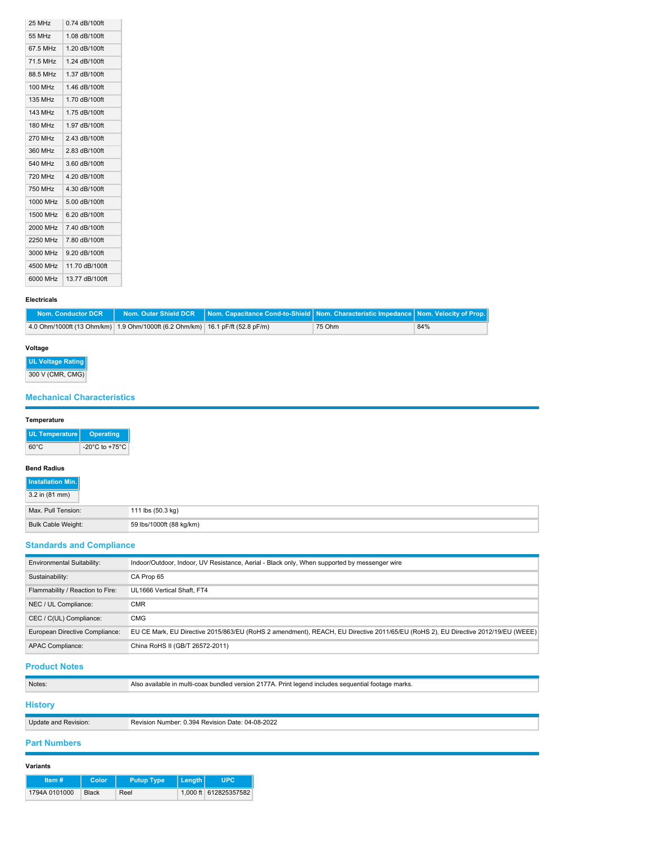| 25 MHz         | 0.74 dB/100ft  |
|----------------|----------------|
| 55 MHz         | 1.08 dB/100ft  |
| 67.5 MHz       | 1.20 dB/100ft  |
| 71.5 MHz       | 1.24 dB/100ft  |
| 88.5 MHz       | 1.37 dB/100ft  |
| <b>100 MHz</b> | 1.46 dB/100ft  |
| <b>135 MHz</b> | 1.70 dB/100ft  |
| 143 MHz        | 1.75 dB/100ft  |
| <b>180 MHz</b> | 1.97 dB/100ft  |
| <b>270 MHz</b> | 2.43 dB/100ft  |
| 360 MHz        | 2.83 dB/100ft  |
| 540 MHz        | 3.60 dB/100ft  |
| 720 MHz        | 4.20 dB/100ft  |
| 750 MHz        | 4.30 dB/100ft  |
| 1000 MHz       | 5.00 dB/100ft  |
| 1500 MHz       | 6.20 dB/100ft  |
| 2000 MHz       | 7.40 dB/100ft  |
| 2250 MHz       | 7.80 dB/100ft  |
| 3000 MHz       | 9.20 dB/100ft  |
| 4500 MHz       | 11.70 dB/100ft |
| 6000 MHz       | 13.77 dB/100ft |

#### **Electricals**

| Nom. Conductor DCR |                                                                               | Nom. Outer Shield DCR Nom. Capacitance Cond-to-Shield Nom. Characteristic Impedance Nom. Velocity of Prop. |        |     |
|--------------------|-------------------------------------------------------------------------------|------------------------------------------------------------------------------------------------------------|--------|-----|
|                    | 4.0 Ohm/1000ft (13 Ohm/km) 1.9 Ohm/1000ft (6.2 Ohm/km) 16.1 pF/ft (52.8 pF/m) |                                                                                                            | 75 Ohm | 84% |

### **Voltage**

**UL Voltage Rating**

300 V (CMR, CMG)

# **Mechanical Characteristics**

| Temperature               |                                      |
|---------------------------|--------------------------------------|
| UL Temperature            | <b>Operating</b>                     |
| $60^{\circ}$ C            | -20 $^{\circ}$ C to +75 $^{\circ}$ C |
| <b>Bend Radius</b>        |                                      |
| Installation Min.         |                                      |
| 3.2 in (81 mm)            |                                      |
| Max. Pull Tension:        |                                      |
| <b>Bulk Cable Weight:</b> |                                      |

# **Standards and Compliance**

| <b>Environmental Suitability:</b> | Indoor/Outdoor, Indoor, UV Resistance, Aerial - Black only, When supported by messenger wire                                     |
|-----------------------------------|----------------------------------------------------------------------------------------------------------------------------------|
| Sustainability:                   | CA Prop 65                                                                                                                       |
| Flammability / Reaction to Fire:  | UL1666 Vertical Shaft, FT4                                                                                                       |
| NEC / UL Compliance:              | <b>CMR</b>                                                                                                                       |
| CEC / C(UL) Compliance:           | <b>CMG</b>                                                                                                                       |
| European Directive Compliance:    | EU CE Mark, EU Directive 2015/863/EU (RoHS 2 amendment), REACH, EU Directive 2011/65/EU (RoHS 2), EU Directive 2012/19/EU (WEEE) |
| <b>APAC Compliance:</b>           | China RoHS II (GB/T 26572-2011)                                                                                                  |

# **Product Notes**

| Notes:               | Also available in multi-coax bundled version 2177A. Print legend includes sequential footage marks. |  |  |
|----------------------|-----------------------------------------------------------------------------------------------------|--|--|
| <b>History</b>       |                                                                                                     |  |  |
| Update and Revision: | Revision Number: 0.394 Revision Date: 04-08-2022                                                    |  |  |
|                      |                                                                                                     |  |  |

# **Part Numbers**

| rıan<br> |
|----------|
|----------|

| Item $#$      | <b>Color</b> | <b>Putup Type</b> | l Lenath I |                       |
|---------------|--------------|-------------------|------------|-----------------------|
| 1794A 0101000 | <b>Black</b> | Reel              |            | 1.000 ft 612825357582 |